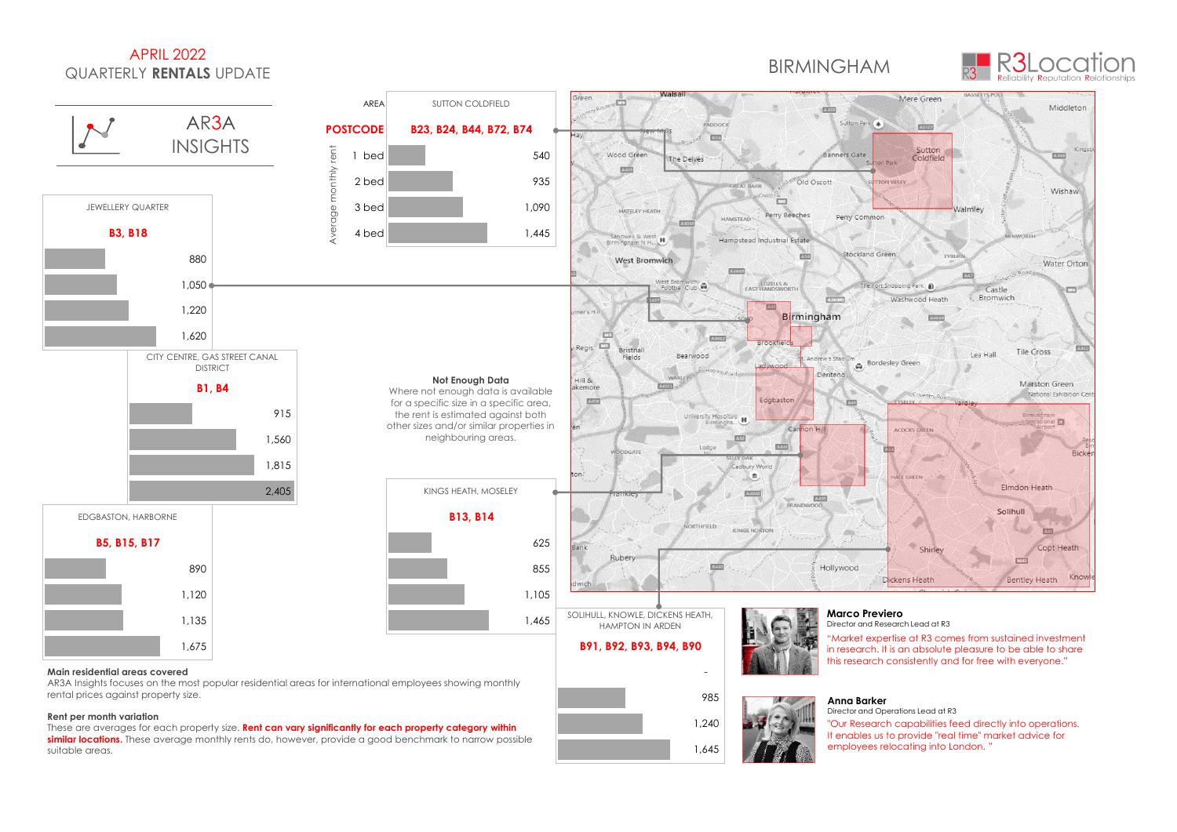## APRIL 2022 QUARTERLY **RENTALS** UPDATE

### BIRMINGHAM



 $\overline{\mathbf{x}}$ ing

EKLE

Rick



#### **Rent per month variation**

These are averages for each property size. **Rent can vary significantly for each property category within similar locations.** These average monthly rents do, however, provide a good benchmark to narrow possible suitable areas.

# 1,645 985 - Paul Barnett, amerikansk politiker († 1985) 1,240

in research. It is an absolute pleasure to be able to share



### **Anna Barker**

Director and Operations Lead at R3 "Our Research capabilities feed directly into operations. It enables us to provide "real time" market advice for employees relocating into London. "